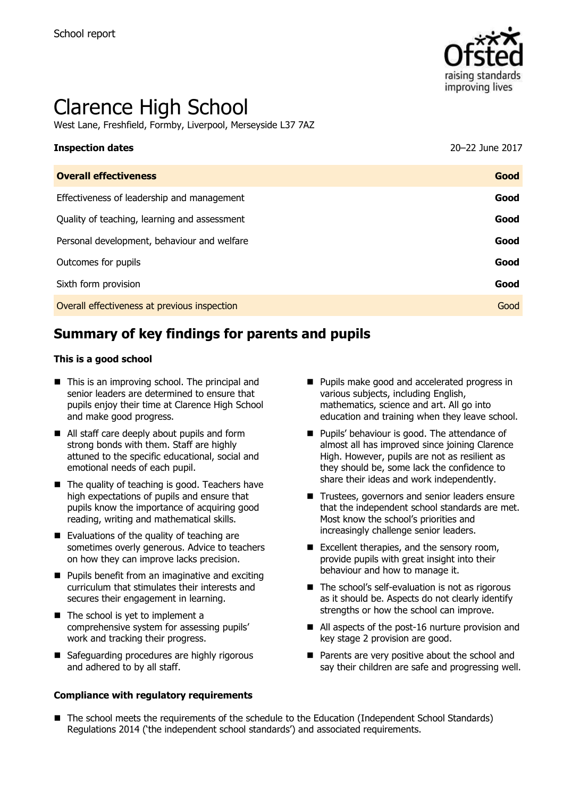

# Clarence High School

West Lane, Freshfield, Formby, Liverpool, Merseyside L37 7AZ

# **Inspection dates** 20–22 June 2017 **Overall effectiveness Good**

| Effectiveness of leadership and management   | Good |
|----------------------------------------------|------|
| Quality of teaching, learning and assessment | Good |
| Personal development, behaviour and welfare  | Good |
| Outcomes for pupils                          | Good |
| Sixth form provision                         | Good |
| Overall effectiveness at previous inspection | Good |

# **Summary of key findings for parents and pupils**

#### **This is a good school**

- This is an improving school. The principal and senior leaders are determined to ensure that pupils enjoy their time at Clarence High School and make good progress.
- All staff care deeply about pupils and form strong bonds with them. Staff are highly attuned to the specific educational, social and emotional needs of each pupil.
- $\blacksquare$  The quality of teaching is good. Teachers have high expectations of pupils and ensure that pupils know the importance of acquiring good reading, writing and mathematical skills.
- Evaluations of the quality of teaching are sometimes overly generous. Advice to teachers on how they can improve lacks precision.
- **Pupils benefit from an imaginative and exciting** curriculum that stimulates their interests and secures their engagement in learning.
- The school is yet to implement a comprehensive system for assessing pupils' work and tracking their progress.
- Safeguarding procedures are highly rigorous and adhered to by all staff.

#### **Compliance with regulatory requirements**

- **Pupils make good and accelerated progress in** various subjects, including English, mathematics, science and art. All go into education and training when they leave school.
- **Pupils' behaviour is good. The attendance of** almost all has improved since joining Clarence High. However, pupils are not as resilient as they should be, some lack the confidence to share their ideas and work independently.
- Trustees, governors and senior leaders ensure that the independent school standards are met. Most know the school's priorities and increasingly challenge senior leaders.
- $\blacksquare$  Excellent therapies, and the sensory room, provide pupils with great insight into their behaviour and how to manage it.
- The school's self-evaluation is not as rigorous as it should be. Aspects do not clearly identify strengths or how the school can improve.
- All aspects of the post-16 nurture provision and key stage 2 provision are good.
- Parents are very positive about the school and say their children are safe and progressing well.
- The school meets the requirements of the schedule to the Education (Independent School Standards) Regulations 2014 ('the independent school standards') and associated requirements.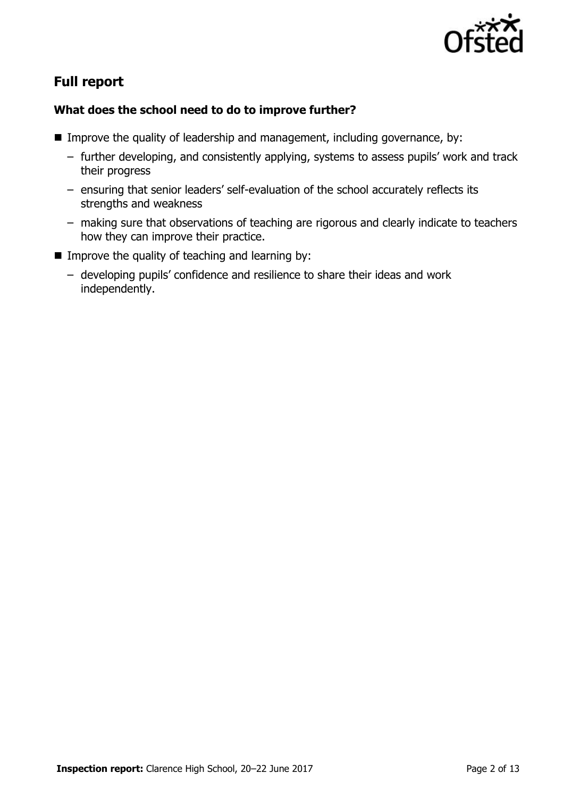

# **Full report**

## **What does the school need to do to improve further?**

- Improve the quality of leadership and management, including governance, by:
	- further developing, and consistently applying, systems to assess pupils' work and track their progress
	- ensuring that senior leaders' self-evaluation of the school accurately reflects its strengths and weakness
	- making sure that observations of teaching are rigorous and clearly indicate to teachers how they can improve their practice.
- $\blacksquare$  Improve the quality of teaching and learning by:
	- developing pupils' confidence and resilience to share their ideas and work independently.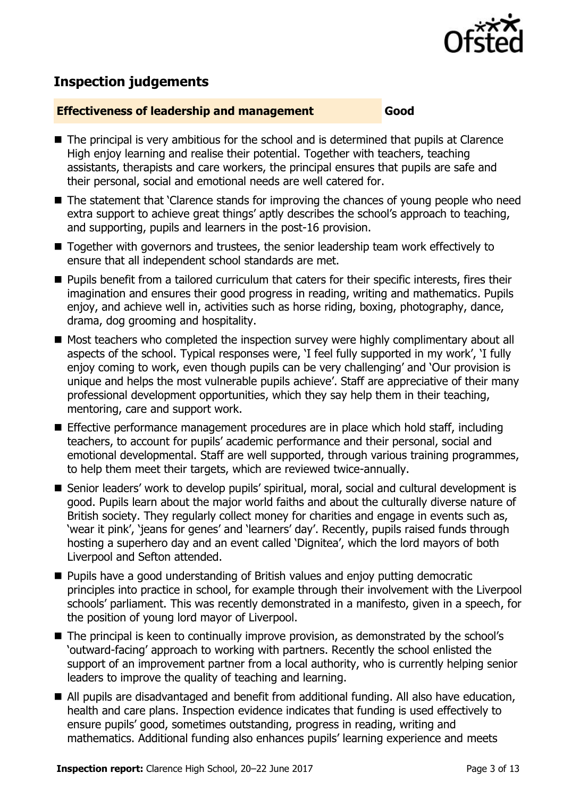

# **Inspection judgements**

#### **Effectiveness of leadership and management Good**

- The principal is very ambitious for the school and is determined that pupils at Clarence High enjoy learning and realise their potential. Together with teachers, teaching assistants, therapists and care workers, the principal ensures that pupils are safe and their personal, social and emotional needs are well catered for.
- The statement that 'Clarence stands for improving the chances of young people who need extra support to achieve great things' aptly describes the school's approach to teaching, and supporting, pupils and learners in the post-16 provision.
- Together with governors and trustees, the senior leadership team work effectively to ensure that all independent school standards are met.
- **Pupils benefit from a tailored curriculum that caters for their specific interests, fires their** imagination and ensures their good progress in reading, writing and mathematics. Pupils enjoy, and achieve well in, activities such as horse riding, boxing, photography, dance, drama, dog grooming and hospitality.
- Most teachers who completed the inspection survey were highly complimentary about all aspects of the school. Typical responses were, 'I feel fully supported in my work', 'I fully enjoy coming to work, even though pupils can be very challenging' and 'Our provision is unique and helps the most vulnerable pupils achieve'. Staff are appreciative of their many professional development opportunities, which they say help them in their teaching, mentoring, care and support work.
- Effective performance management procedures are in place which hold staff, including teachers, to account for pupils' academic performance and their personal, social and emotional developmental. Staff are well supported, through various training programmes, to help them meet their targets, which are reviewed twice-annually.
- Senior leaders' work to develop pupils' spiritual, moral, social and cultural development is good. Pupils learn about the major world faiths and about the culturally diverse nature of British society. They regularly collect money for charities and engage in events such as, 'wear it pink', 'jeans for genes' and 'learners' day'. Recently, pupils raised funds through hosting a superhero day and an event called 'Dignitea', which the lord mayors of both Liverpool and Sefton attended.
- **Pupils have a good understanding of British values and enjoy putting democratic** principles into practice in school, for example through their involvement with the Liverpool schools' parliament. This was recently demonstrated in a manifesto, given in a speech, for the position of young lord mayor of Liverpool.
- The principal is keen to continually improve provision, as demonstrated by the school's 'outward-facing' approach to working with partners. Recently the school enlisted the support of an improvement partner from a local authority, who is currently helping senior leaders to improve the quality of teaching and learning.
- All pupils are disadvantaged and benefit from additional funding. All also have education, health and care plans. Inspection evidence indicates that funding is used effectively to ensure pupils' good, sometimes outstanding, progress in reading, writing and mathematics. Additional funding also enhances pupils' learning experience and meets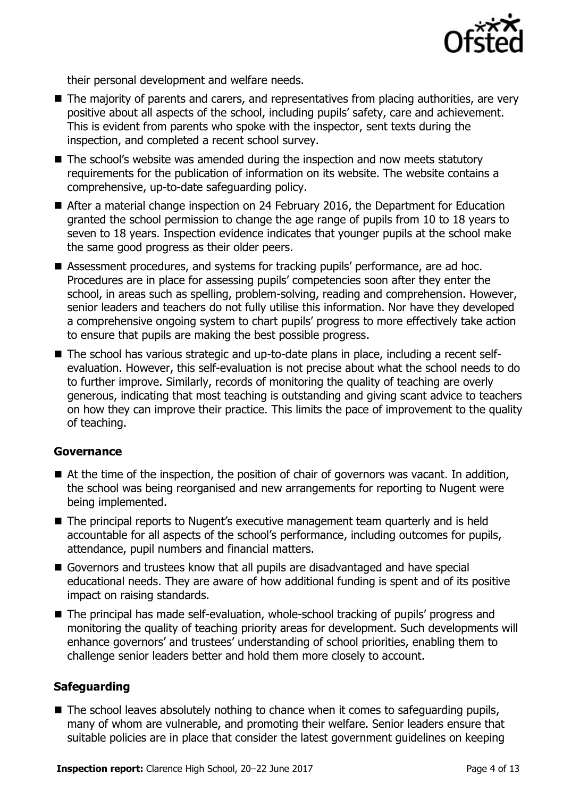

their personal development and welfare needs.

- The majority of parents and carers, and representatives from placing authorities, are very positive about all aspects of the school, including pupils' safety, care and achievement. This is evident from parents who spoke with the inspector, sent texts during the inspection, and completed a recent school survey.
- The school's website was amended during the inspection and now meets statutory requirements for the publication of information on its website. The website contains a comprehensive, up-to-date safeguarding policy.
- After a material change inspection on 24 February 2016, the Department for Education granted the school permission to change the age range of pupils from 10 to 18 years to seven to 18 years. Inspection evidence indicates that younger pupils at the school make the same good progress as their older peers.
- Assessment procedures, and systems for tracking pupils' performance, are ad hoc. Procedures are in place for assessing pupils' competencies soon after they enter the school, in areas such as spelling, problem-solving, reading and comprehension. However, senior leaders and teachers do not fully utilise this information. Nor have they developed a comprehensive ongoing system to chart pupils' progress to more effectively take action to ensure that pupils are making the best possible progress.
- The school has various strategic and up-to-date plans in place, including a recent selfevaluation. However, this self-evaluation is not precise about what the school needs to do to further improve. Similarly, records of monitoring the quality of teaching are overly generous, indicating that most teaching is outstanding and giving scant advice to teachers on how they can improve their practice. This limits the pace of improvement to the quality of teaching.

## **Governance**

- At the time of the inspection, the position of chair of governors was vacant. In addition, the school was being reorganised and new arrangements for reporting to Nugent were being implemented.
- The principal reports to Nugent's executive management team quarterly and is held accountable for all aspects of the school's performance, including outcomes for pupils, attendance, pupil numbers and financial matters.
- Governors and trustees know that all pupils are disadvantaged and have special educational needs. They are aware of how additional funding is spent and of its positive impact on raising standards.
- The principal has made self-evaluation, whole-school tracking of pupils' progress and monitoring the quality of teaching priority areas for development. Such developments will enhance governors' and trustees' understanding of school priorities, enabling them to challenge senior leaders better and hold them more closely to account.

## **Safeguarding**

 $\blacksquare$  The school leaves absolutely nothing to chance when it comes to safeguarding pupils, many of whom are vulnerable, and promoting their welfare. Senior leaders ensure that suitable policies are in place that consider the latest government guidelines on keeping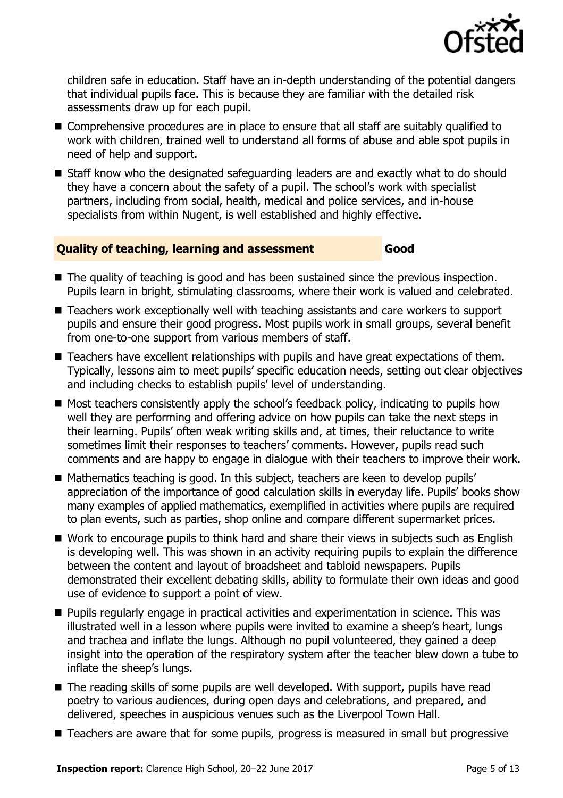

children safe in education. Staff have an in-depth understanding of the potential dangers that individual pupils face. This is because they are familiar with the detailed risk assessments draw up for each pupil.

- Comprehensive procedures are in place to ensure that all staff are suitably qualified to work with children, trained well to understand all forms of abuse and able spot pupils in need of help and support.
- Staff know who the designated safeguarding leaders are and exactly what to do should they have a concern about the safety of a pupil. The school's work with specialist partners, including from social, health, medical and police services, and in-house specialists from within Nugent, is well established and highly effective.

#### **Quality of teaching, learning and assessment Good**

- The quality of teaching is good and has been sustained since the previous inspection. Pupils learn in bright, stimulating classrooms, where their work is valued and celebrated.
- Teachers work exceptionally well with teaching assistants and care workers to support pupils and ensure their good progress. Most pupils work in small groups, several benefit from one-to-one support from various members of staff.
- Teachers have excellent relationships with pupils and have great expectations of them. Typically, lessons aim to meet pupils' specific education needs, setting out clear objectives and including checks to establish pupils' level of understanding.
- Most teachers consistently apply the school's feedback policy, indicating to pupils how well they are performing and offering advice on how pupils can take the next steps in their learning. Pupils' often weak writing skills and, at times, their reluctance to write sometimes limit their responses to teachers' comments. However, pupils read such comments and are happy to engage in dialogue with their teachers to improve their work.
- Mathematics teaching is good. In this subject, teachers are keen to develop pupils' appreciation of the importance of good calculation skills in everyday life. Pupils' books show many examples of applied mathematics, exemplified in activities where pupils are required to plan events, such as parties, shop online and compare different supermarket prices.
- Work to encourage pupils to think hard and share their views in subjects such as English is developing well. This was shown in an activity requiring pupils to explain the difference between the content and layout of broadsheet and tabloid newspapers. Pupils demonstrated their excellent debating skills, ability to formulate their own ideas and good use of evidence to support a point of view.
- **Pupils regularly engage in practical activities and experimentation in science. This was** illustrated well in a lesson where pupils were invited to examine a sheep's heart, lungs and trachea and inflate the lungs. Although no pupil volunteered, they gained a deep insight into the operation of the respiratory system after the teacher blew down a tube to inflate the sheep's lungs.
- The reading skills of some pupils are well developed. With support, pupils have read poetry to various audiences, during open days and celebrations, and prepared, and delivered, speeches in auspicious venues such as the Liverpool Town Hall.
- Teachers are aware that for some pupils, progress is measured in small but progressive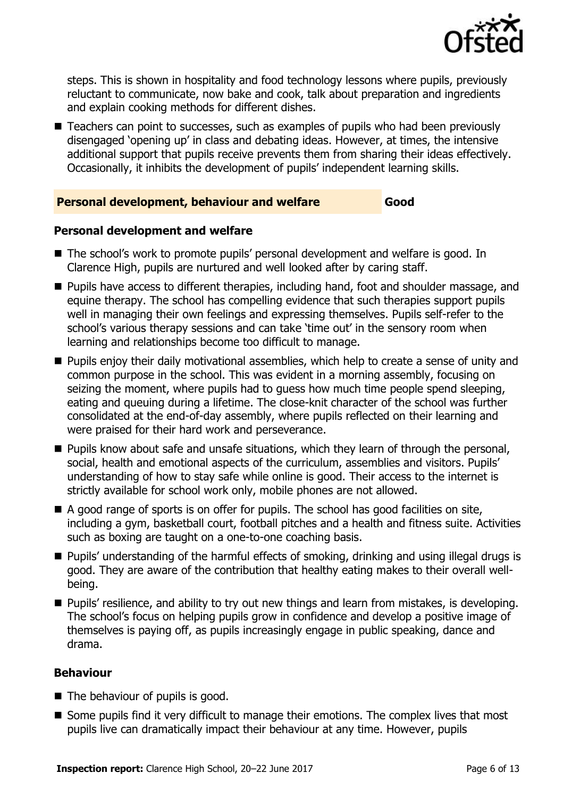

steps. This is shown in hospitality and food technology lessons where pupils, previously reluctant to communicate, now bake and cook, talk about preparation and ingredients and explain cooking methods for different dishes.

■ Teachers can point to successes, such as examples of pupils who had been previously disengaged 'opening up' in class and debating ideas. However, at times, the intensive additional support that pupils receive prevents them from sharing their ideas effectively. Occasionally, it inhibits the development of pupils' independent learning skills.

## **Personal development, behaviour and welfare Good**

## **Personal development and welfare**

- The school's work to promote pupils' personal development and welfare is good. In Clarence High, pupils are nurtured and well looked after by caring staff.
- **Pupils have access to different therapies, including hand, foot and shoulder massage, and** equine therapy. The school has compelling evidence that such therapies support pupils well in managing their own feelings and expressing themselves. Pupils self-refer to the school's various therapy sessions and can take 'time out' in the sensory room when learning and relationships become too difficult to manage.
- **Pupils enjoy their daily motivational assemblies, which help to create a sense of unity and** common purpose in the school. This was evident in a morning assembly, focusing on seizing the moment, where pupils had to guess how much time people spend sleeping, eating and queuing during a lifetime. The close-knit character of the school was further consolidated at the end-of-day assembly, where pupils reflected on their learning and were praised for their hard work and perseverance.
- **Pupils know about safe and unsafe situations, which they learn of through the personal,** social, health and emotional aspects of the curriculum, assemblies and visitors. Pupils' understanding of how to stay safe while online is good. Their access to the internet is strictly available for school work only, mobile phones are not allowed.
- $\blacksquare$  A good range of sports is on offer for pupils. The school has good facilities on site, including a gym, basketball court, football pitches and a health and fitness suite. Activities such as boxing are taught on a one-to-one coaching basis.
- Pupils' understanding of the harmful effects of smoking, drinking and using illegal drugs is good. They are aware of the contribution that healthy eating makes to their overall wellbeing.
- **Pupils' resilience, and ability to try out new things and learn from mistakes, is developing.** The school's focus on helping pupils grow in confidence and develop a positive image of themselves is paying off, as pupils increasingly engage in public speaking, dance and drama.

## **Behaviour**

- The behaviour of pupils is good.
- Some pupils find it very difficult to manage their emotions. The complex lives that most pupils live can dramatically impact their behaviour at any time. However, pupils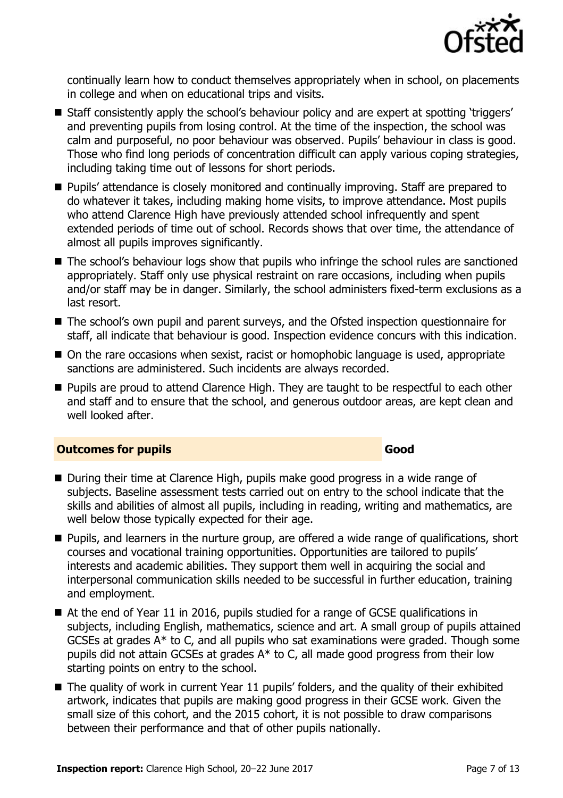

continually learn how to conduct themselves appropriately when in school, on placements in college and when on educational trips and visits.

- Staff consistently apply the school's behaviour policy and are expert at spotting 'triggers' and preventing pupils from losing control. At the time of the inspection, the school was calm and purposeful, no poor behaviour was observed. Pupils' behaviour in class is good. Those who find long periods of concentration difficult can apply various coping strategies, including taking time out of lessons for short periods.
- **Pupils' attendance is closely monitored and continually improving. Staff are prepared to** do whatever it takes, including making home visits, to improve attendance. Most pupils who attend Clarence High have previously attended school infrequently and spent extended periods of time out of school. Records shows that over time, the attendance of almost all pupils improves significantly.
- The school's behaviour logs show that pupils who infringe the school rules are sanctioned appropriately. Staff only use physical restraint on rare occasions, including when pupils and/or staff may be in danger. Similarly, the school administers fixed-term exclusions as a last resort.
- The school's own pupil and parent surveys, and the Ofsted inspection questionnaire for staff, all indicate that behaviour is good. Inspection evidence concurs with this indication.
- On the rare occasions when sexist, racist or homophobic language is used, appropriate sanctions are administered. Such incidents are always recorded.
- **Pupils are proud to attend Clarence High. They are taught to be respectful to each other** and staff and to ensure that the school, and generous outdoor areas, are kept clean and well looked after.

#### **Outcomes for pupils Good**

- During their time at Clarence High, pupils make good progress in a wide range of subjects. Baseline assessment tests carried out on entry to the school indicate that the skills and abilities of almost all pupils, including in reading, writing and mathematics, are well below those typically expected for their age.
- **Pupils, and learners in the nurture group, are offered a wide range of qualifications, short** courses and vocational training opportunities. Opportunities are tailored to pupils' interests and academic abilities. They support them well in acquiring the social and interpersonal communication skills needed to be successful in further education, training and employment.
- At the end of Year 11 in 2016, pupils studied for a range of GCSE qualifications in subjects, including English, mathematics, science and art. A small group of pupils attained GCSEs at grades A\* to C, and all pupils who sat examinations were graded. Though some pupils did not attain GCSEs at grades A\* to C, all made good progress from their low starting points on entry to the school.
- The quality of work in current Year 11 pupils' folders, and the quality of their exhibited artwork, indicates that pupils are making good progress in their GCSE work. Given the small size of this cohort, and the 2015 cohort, it is not possible to draw comparisons between their performance and that of other pupils nationally.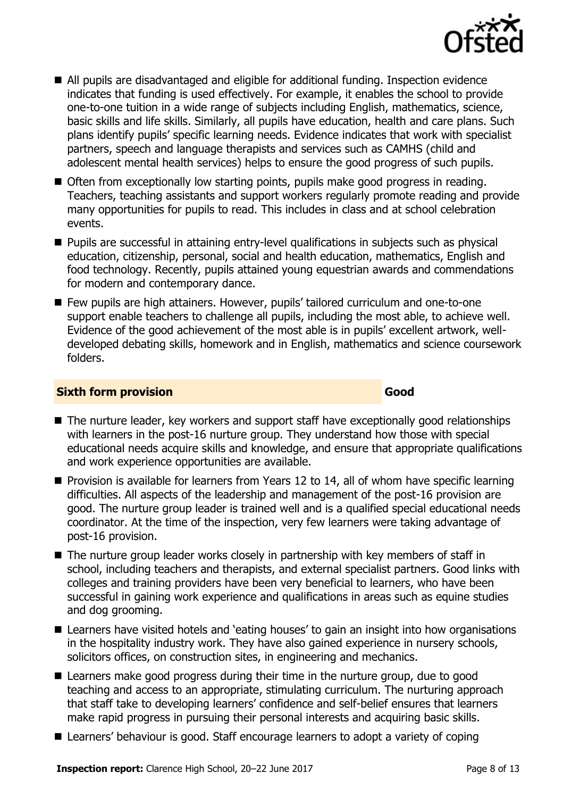

- All pupils are disadvantaged and eligible for additional funding. Inspection evidence indicates that funding is used effectively. For example, it enables the school to provide one-to-one tuition in a wide range of subjects including English, mathematics, science, basic skills and life skills. Similarly, all pupils have education, health and care plans. Such plans identify pupils' specific learning needs. Evidence indicates that work with specialist partners, speech and language therapists and services such as CAMHS (child and adolescent mental health services) helps to ensure the good progress of such pupils.
- Often from exceptionally low starting points, pupils make good progress in reading. Teachers, teaching assistants and support workers regularly promote reading and provide many opportunities for pupils to read. This includes in class and at school celebration events.
- Pupils are successful in attaining entry-level qualifications in subjects such as physical education, citizenship, personal, social and health education, mathematics, English and food technology. Recently, pupils attained young equestrian awards and commendations for modern and contemporary dance.
- Few pupils are high attainers. However, pupils' tailored curriculum and one-to-one support enable teachers to challenge all pupils, including the most able, to achieve well. Evidence of the good achievement of the most able is in pupils' excellent artwork, welldeveloped debating skills, homework and in English, mathematics and science coursework folders.

#### **Sixth form provision Good**

- The nurture leader, key workers and support staff have exceptionally good relationships with learners in the post-16 nurture group. They understand how those with special educational needs acquire skills and knowledge, and ensure that appropriate qualifications and work experience opportunities are available.
- **Provision is available for learners from Years 12 to 14, all of whom have specific learning** difficulties. All aspects of the leadership and management of the post-16 provision are good. The nurture group leader is trained well and is a qualified special educational needs coordinator. At the time of the inspection, very few learners were taking advantage of post-16 provision.
- The nurture group leader works closely in partnership with key members of staff in school, including teachers and therapists, and external specialist partners. Good links with colleges and training providers have been very beneficial to learners, who have been successful in gaining work experience and qualifications in areas such as equine studies and dog grooming.
- Learners have visited hotels and 'eating houses' to gain an insight into how organisations in the hospitality industry work. They have also gained experience in nursery schools, solicitors offices, on construction sites, in engineering and mechanics.
- Learners make good progress during their time in the nurture group, due to good teaching and access to an appropriate, stimulating curriculum. The nurturing approach that staff take to developing learners' confidence and self-belief ensures that learners make rapid progress in pursuing their personal interests and acquiring basic skills.
- Learners' behaviour is good. Staff encourage learners to adopt a variety of coping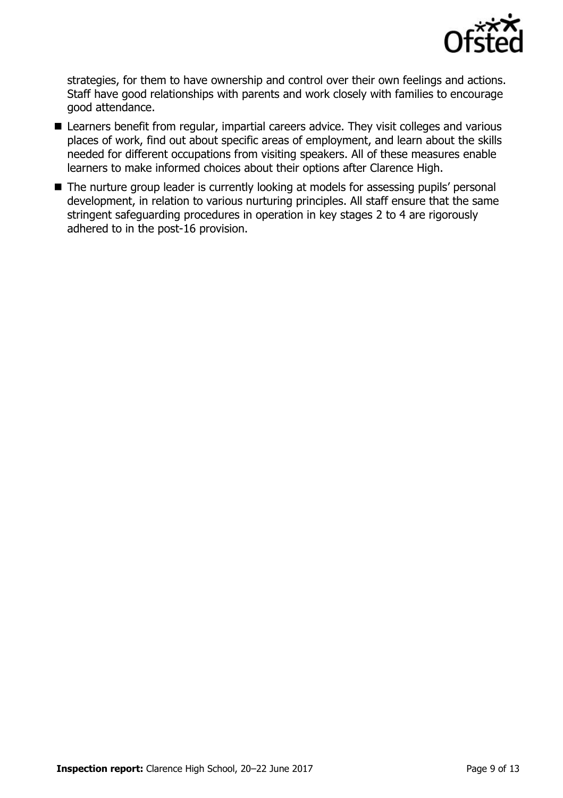

strategies, for them to have ownership and control over their own feelings and actions. Staff have good relationships with parents and work closely with families to encourage good attendance.

- Learners benefit from regular, impartial careers advice. They visit colleges and various places of work, find out about specific areas of employment, and learn about the skills needed for different occupations from visiting speakers. All of these measures enable learners to make informed choices about their options after Clarence High.
- The nurture group leader is currently looking at models for assessing pupils' personal development, in relation to various nurturing principles. All staff ensure that the same stringent safeguarding procedures in operation in key stages 2 to 4 are rigorously adhered to in the post-16 provision.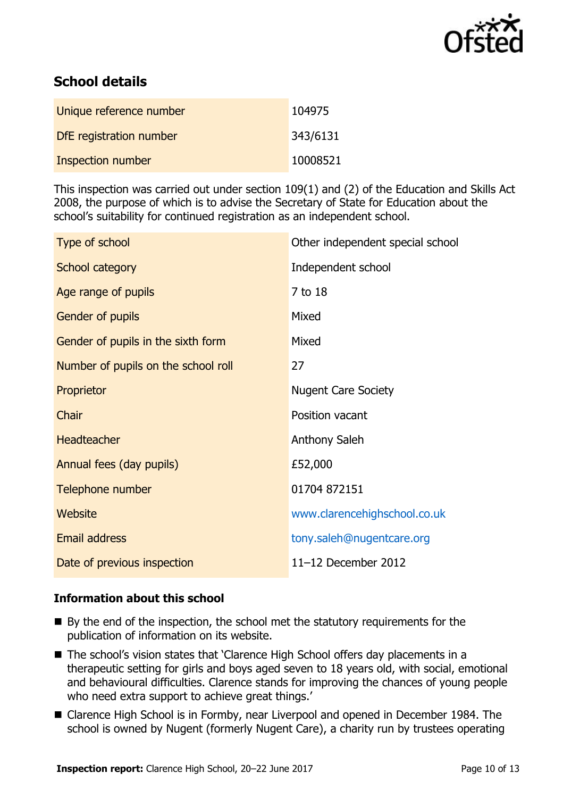

# **School details**

| Unique reference number  | 104975   |
|--------------------------|----------|
| DfE registration number  | 343/6131 |
| <b>Inspection number</b> | 10008521 |

This inspection was carried out under section 109(1) and (2) of the Education and Skills Act 2008, the purpose of which is to advise the Secretary of State for Education about the school's suitability for continued registration as an independent school.

| Type of school                      | Other independent special school |
|-------------------------------------|----------------------------------|
| School category                     | Independent school               |
| Age range of pupils                 | 7 to 18                          |
| <b>Gender of pupils</b>             | Mixed                            |
| Gender of pupils in the sixth form  | Mixed                            |
| Number of pupils on the school roll | 27                               |
| Proprietor                          | <b>Nugent Care Society</b>       |
| Chair                               | Position vacant                  |
| <b>Headteacher</b>                  | Anthony Saleh                    |
| Annual fees (day pupils)            | £52,000                          |
| Telephone number                    | 01704 872151                     |
| Website                             | www.clarencehighschool.co.uk     |
| <b>Email address</b>                | tony.saleh@nugentcare.org        |
| Date of previous inspection         | 11-12 December 2012              |

## **Information about this school**

- By the end of the inspection, the school met the statutory requirements for the publication of information on its website.
- The school's vision states that `Clarence High School offers day placements in a therapeutic setting for girls and boys aged seven to 18 years old, with social, emotional and behavioural difficulties. Clarence stands for improving the chances of young people who need extra support to achieve great things.'
- Clarence High School is in Formby, near Liverpool and opened in December 1984. The school is owned by Nugent (formerly Nugent Care), a charity run by trustees operating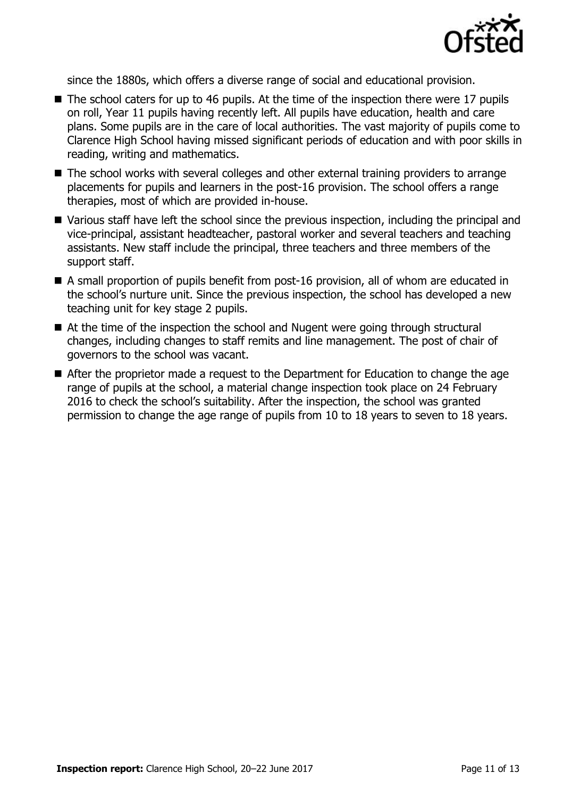

since the 1880s, which offers a diverse range of social and educational provision.

- The school caters for up to 46 pupils. At the time of the inspection there were 17 pupils on roll, Year 11 pupils having recently left. All pupils have education, health and care plans. Some pupils are in the care of local authorities. The vast majority of pupils come to Clarence High School having missed significant periods of education and with poor skills in reading, writing and mathematics.
- The school works with several colleges and other external training providers to arrange placements for pupils and learners in the post-16 provision. The school offers a range therapies, most of which are provided in-house.
- Various staff have left the school since the previous inspection, including the principal and vice-principal, assistant headteacher, pastoral worker and several teachers and teaching assistants. New staff include the principal, three teachers and three members of the support staff.
- A small proportion of pupils benefit from post-16 provision, all of whom are educated in the school's nurture unit. Since the previous inspection, the school has developed a new teaching unit for key stage 2 pupils.
- At the time of the inspection the school and Nugent were going through structural changes, including changes to staff remits and line management. The post of chair of governors to the school was vacant.
- After the proprietor made a request to the Department for Education to change the age range of pupils at the school, a material change inspection took place on 24 February 2016 to check the school's suitability. After the inspection, the school was granted permission to change the age range of pupils from 10 to 18 years to seven to 18 years.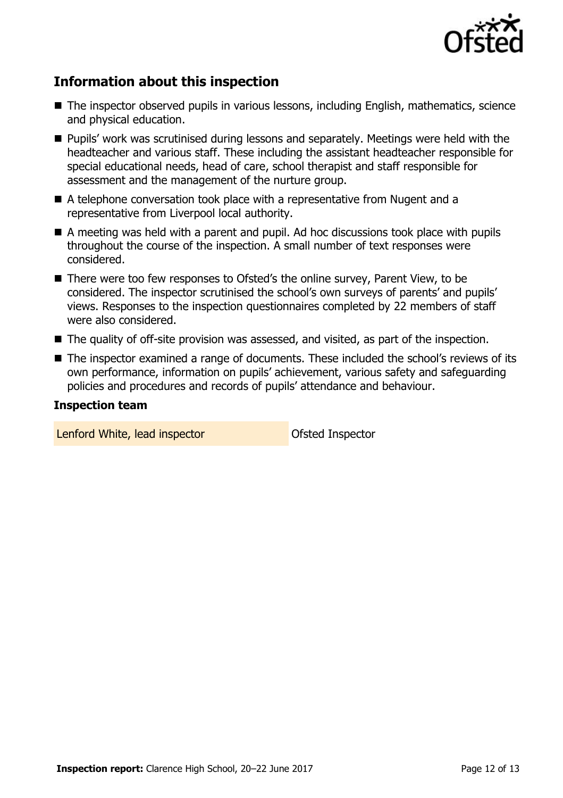

# **Information about this inspection**

- The inspector observed pupils in various lessons, including English, mathematics, science and physical education.
- **Pupils' work was scrutinised during lessons and separately. Meetings were held with the** headteacher and various staff. These including the assistant headteacher responsible for special educational needs, head of care, school therapist and staff responsible for assessment and the management of the nurture group.
- A telephone conversation took place with a representative from Nugent and a representative from Liverpool local authority.
- A meeting was held with a parent and pupil. Ad hoc discussions took place with pupils throughout the course of the inspection. A small number of text responses were considered.
- There were too few responses to Ofsted's the online survey, Parent View, to be considered. The inspector scrutinised the school's own surveys of parents' and pupils' views. Responses to the inspection questionnaires completed by 22 members of staff were also considered.
- The quality of off-site provision was assessed, and visited, as part of the inspection.
- The inspector examined a range of documents. These included the school's reviews of its own performance, information on pupils' achievement, various safety and safeguarding policies and procedures and records of pupils' attendance and behaviour.

#### **Inspection team**

Lenford White, lead inspector and offsted Inspector